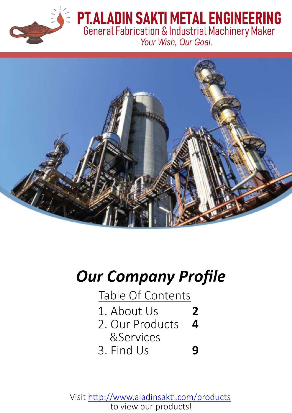

# **PT.ALADIN SAKTI METAL ENGINEERING**<br>General Fabrication & Industrial Machinery Maker





# **Our Company Profile**

Table Of Contents

1. About Us

2

9

- $\overline{\mathbf{a}}$ 2. Our Products
	- &Services
- 3. Find Us

Visit http://www.aladinsakti.com/products to view our products!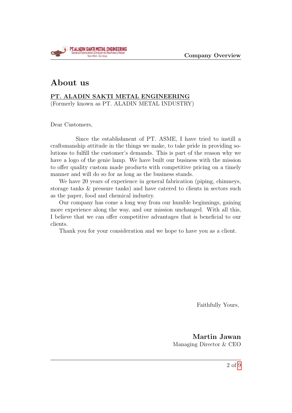

#### About us

#### PT. ALADIN SAKTI METAL ENGINEERING

(Formerly known as PT. ALADIN METAL INDUSTRY)

Dear Customers,

Since the establishment of PT. ASME, I have tried to instill a craftsmanship attitude in the things we make, to take pride in providing solutions to fulfill the customer's demands. This is part of the reason why we have a logo of the genie lamp. We have built our business with the mission to offer quality custom made products with competitive pricing on a timely manner and will do so for as long as the business stands.

We have 20 years of experience in general fabrication (piping, chimneys, storage tanks & pressure tanks) and have catered to clients in sectors such as the paper, food and chemical industry.

Our company has come a long way from our humble beginnings, gaining more experience along the way, and our mission unchanged. With all this, I believe that we can offer competitive advantages that is beneficial to our clients.

Thank you for your consideration and we hope to have you as a client.

Faithfully Yours,

Martin Jawan Managing Director & CEO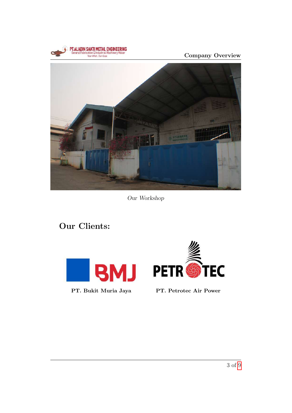





Our Workshop

Our Clients:





PT. Bukit Muria Jaya PT. Petrotec Air Power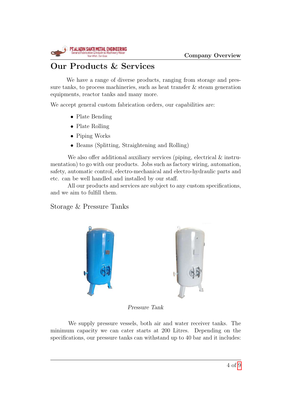

## Our Products & Services

We have a range of diverse products, ranging from storage and pressure tanks, to process machineries, such as heat transfer  $\&$  steam generation equipments, reactor tanks and many more.

We accept general custom fabrication orders, our capabilities are:

- Plate Bending
- Plate Rolling
- Piping Works
- Beams (Splitting, Straightening and Rolling)

We also offer additional auxiliary services (piping, electrical  $\&$  instrumentation) to go with our products. Jobs such as factory wiring, automation, safety, automatic control, electro-mechanical and electro-hydraulic parts and etc. can be well handled and installed by our staff.

All our products and services are subject to any custom specifications, and we aim to fulfill them.

Storage & Pressure Tanks





Pressure Tank

We supply pressure vessels, both air and water receiver tanks. The minimum capacity we can cater starts at 200 Litres. Depending on the specifications, our pressure tanks can withstand up to 40 bar and it includes: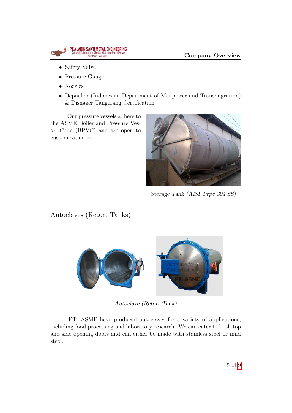

- Safety Valve
- Pressure Gauge
- Nozzles
- Depnaker (Indonesian Department of Manpower and Transmigration) & Disnaker Tangerang Certification

Our pressure vessels adhere to the ASME Boiler and Pressure Vessel Code (BPVC) and are open to customisation.=



Storage Tank (AISI Type 304 SS)

Autoclaves (Retort Tanks)



Autoclave (Retort Tank)

PT. ASME have produced autoclaves for a variety of applications, including food processing and laboratory research. We can cater to both top and side opening doors and can either be made with stainless steel or mild steel.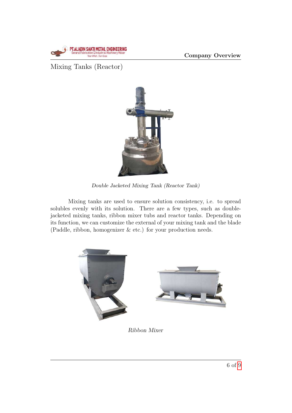

Mixing Tanks (Reactor)



Double Jacketed Mixing Tank (Reactor Tank)

Mixing tanks are used to ensure solution consistency, i.e. to spread solubles evenly with its solution. There are a few types, such as doublejacketed mixing tanks, ribbon mixer tubs and reactor tanks. Depending on its function, we can customize the external of your mixing tank and the blade (Paddle, ribbon, homogenizer & etc.) for your production needs.



#### Ribbon Mixer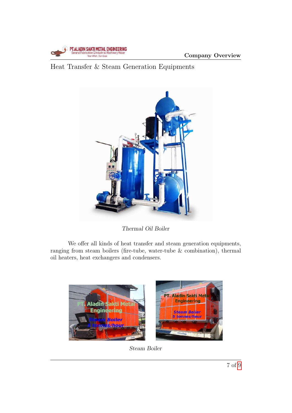

### Heat Transfer & Steam Generation Equipments



Thermal Oil Boiler

We offer all kinds of heat transfer and steam generation equipments, ranging from steam boilers (fire-tube, water-tube & combination), thermal oil heaters, heat exchangers and condensers.



Steam Boiler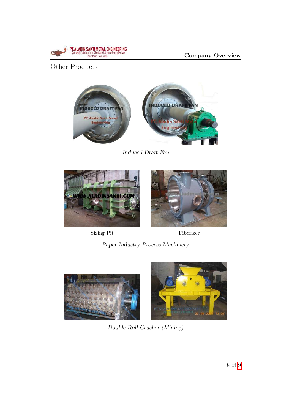

Company Overview

#### Other Products



Induced Draft Fan



Sizing Pit Fiberizer



Paper Industry Process Machinery





Double Roll Crusher (Mining)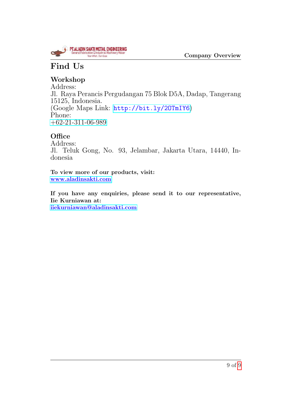

# <span id="page-8-0"></span>Find Us

### Workshop

Address: Jl. Raya Perancis Pergudangan 75 Blok D5A, Dadap, Tangerang 15125, Indonesia. (Google Maps Link: <http://bit.ly/2OTmIY6>) Phone: [+62-21-311-06-989](tel:+62-21-311-06-989)

#### **Office**

Address: Jl. Teluk Gong, No. 93, Jelambar, Jakarta Utara, 14440, Indonesia

To view more of our products, visit: <www.aladinsakti.com>

If you have any enquiries, please send it to our representative, Iie Kurniawan at: [iiekurniawan@aladinsakti.com](mailto:iiekurniawan@aladinsakti.com?subject=Enquiry%20for:)